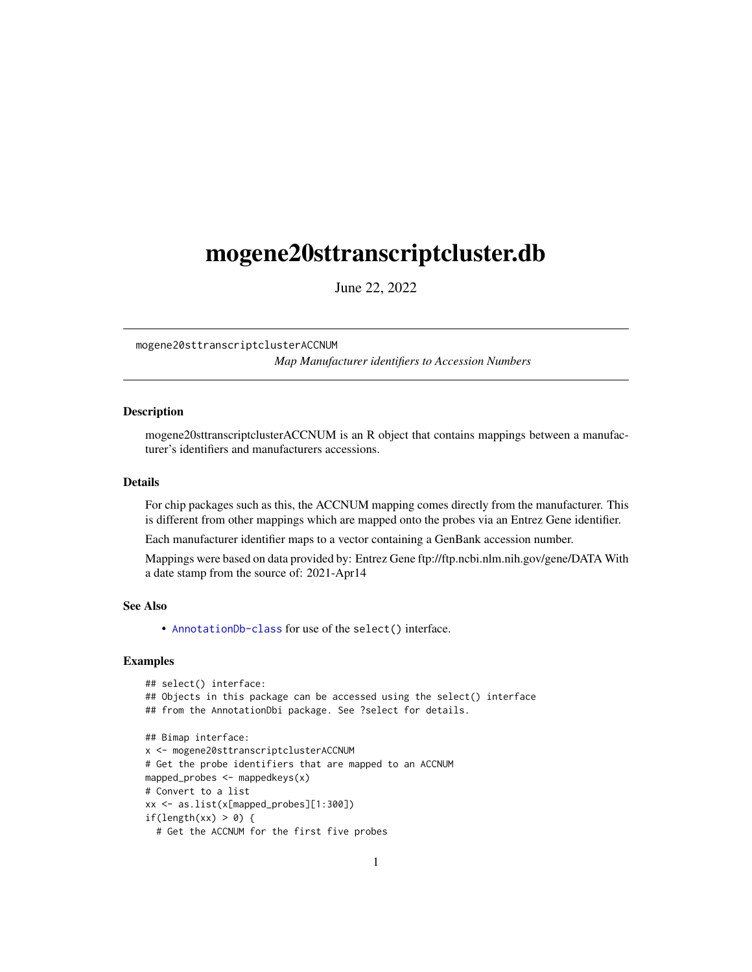## <span id="page-0-1"></span><span id="page-0-0"></span>mogene20sttranscriptcluster.db

June 22, 2022

mogene20sttranscriptclusterACCNUM *Map Manufacturer identifiers to Accession Numbers*

## **Description**

mogene20sttranscriptclusterACCNUM is an R object that contains mappings between a manufacturer's identifiers and manufacturers accessions.

#### Details

For chip packages such as this, the ACCNUM mapping comes directly from the manufacturer. This is different from other mappings which are mapped onto the probes via an Entrez Gene identifier.

Each manufacturer identifier maps to a vector containing a GenBank accession number.

Mappings were based on data provided by: Entrez Gene ftp://ftp.ncbi.nlm.nih.gov/gene/DATA With a date stamp from the source of: 2021-Apr14

## See Also

• AnnotationDb-class for use of the select() interface.

```
## select() interface:
## Objects in this package can be accessed using the select() interface
## from the AnnotationDbi package. See ?select for details.
## Bimap interface:
x <- mogene20sttranscriptclusterACCNUM
# Get the probe identifiers that are mapped to an ACCNUM
mapped_probes <- mappedkeys(x)
# Convert to a list
xx <- as.list(x[mapped_probes][1:300])
if(length(xx) > 0) {
 # Get the ACCNUM for the first five probes
```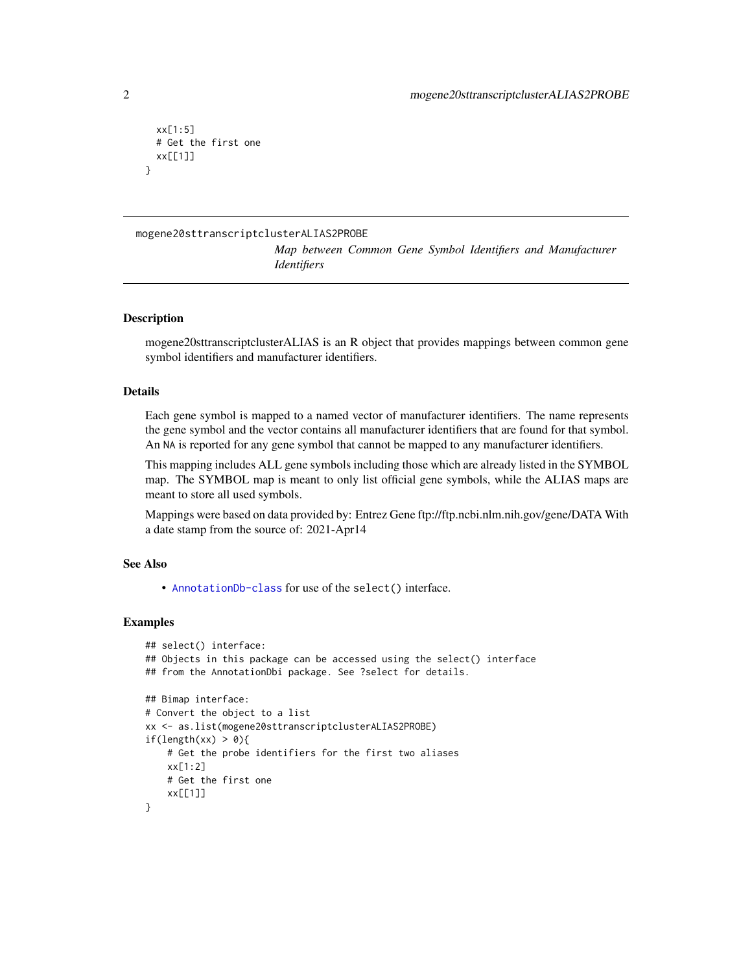```
xx[1:5]
 # Get the first one
 xx[[1]]
}
```
## mogene20sttranscriptclusterALIAS2PROBE

*Map between Common Gene Symbol Identifiers and Manufacturer Identifiers*

## **Description**

mogene20sttranscriptclusterALIAS is an R object that provides mappings between common gene symbol identifiers and manufacturer identifiers.

## Details

Each gene symbol is mapped to a named vector of manufacturer identifiers. The name represents the gene symbol and the vector contains all manufacturer identifiers that are found for that symbol. An NA is reported for any gene symbol that cannot be mapped to any manufacturer identifiers.

This mapping includes ALL gene symbols including those which are already listed in the SYMBOL map. The SYMBOL map is meant to only list official gene symbols, while the ALIAS maps are meant to store all used symbols.

Mappings were based on data provided by: Entrez Gene ftp://ftp.ncbi.nlm.nih.gov/gene/DATA With a date stamp from the source of: 2021-Apr14

## See Also

• [AnnotationDb-class](#page-0-0) for use of the select() interface.

```
## select() interface:
## Objects in this package can be accessed using the select() interface
## from the AnnotationDbi package. See ?select for details.
## Bimap interface:
# Convert the object to a list
xx <- as.list(mogene20sttranscriptclusterALIAS2PROBE)
if(length(xx) > 0){
   # Get the probe identifiers for the first two aliases
   xx[1:2]
   # Get the first one
    xx[[1]]
}
```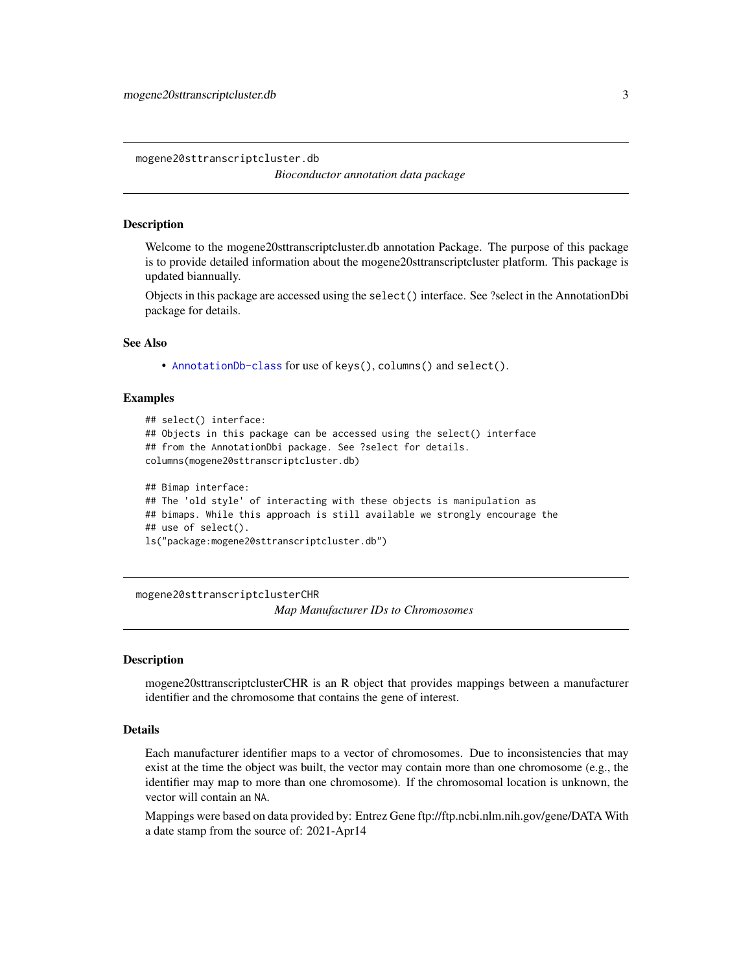<span id="page-2-0"></span>mogene20sttranscriptcluster.db

*Bioconductor annotation data package*

## **Description**

Welcome to the mogene20sttranscriptcluster.db annotation Package. The purpose of this package is to provide detailed information about the mogene20sttranscriptcluster platform. This package is updated biannually.

Objects in this package are accessed using the select() interface. See ?select in the AnnotationDbi package for details.

## See Also

• [AnnotationDb-class](#page-0-0) for use of keys(), columns() and select().

#### Examples

```
## select() interface:
## Objects in this package can be accessed using the select() interface
## from the AnnotationDbi package. See ?select for details.
columns(mogene20sttranscriptcluster.db)
## Bimap interface:
## The 'old style' of interacting with these objects is manipulation as
## bimaps. While this approach is still available we strongly encourage the
## use of select().
```

```
ls("package:mogene20sttranscriptcluster.db")
```
mogene20sttranscriptclusterCHR

*Map Manufacturer IDs to Chromosomes*

#### Description

mogene20sttranscriptclusterCHR is an R object that provides mappings between a manufacturer identifier and the chromosome that contains the gene of interest.

## Details

Each manufacturer identifier maps to a vector of chromosomes. Due to inconsistencies that may exist at the time the object was built, the vector may contain more than one chromosome (e.g., the identifier may map to more than one chromosome). If the chromosomal location is unknown, the vector will contain an NA.

Mappings were based on data provided by: Entrez Gene ftp://ftp.ncbi.nlm.nih.gov/gene/DATA With a date stamp from the source of: 2021-Apr14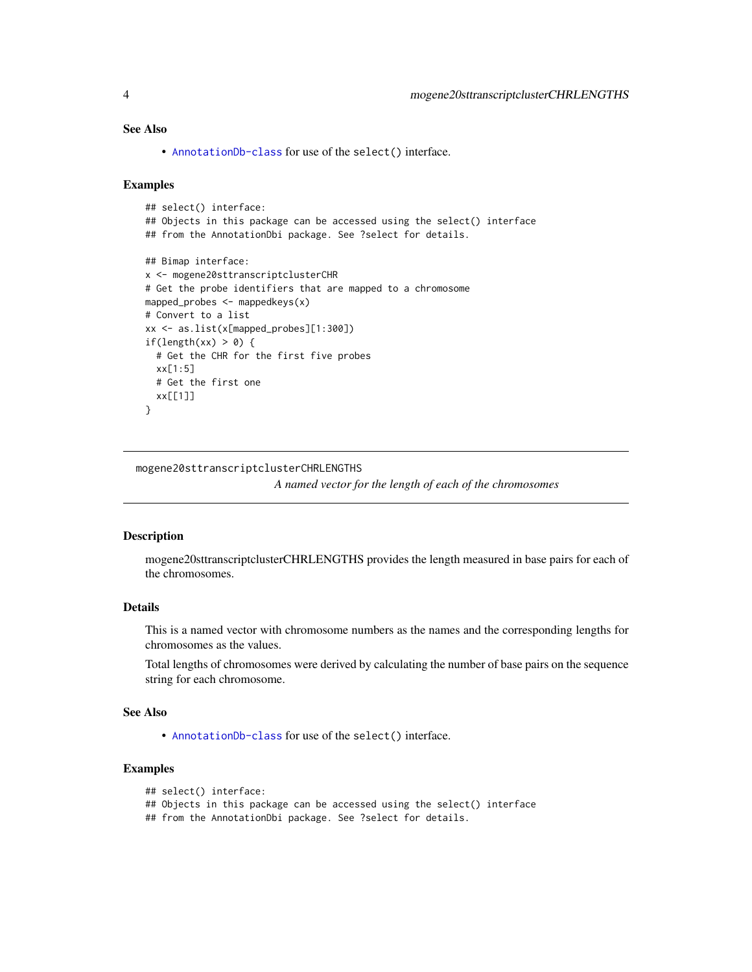## <span id="page-3-0"></span>See Also

• [AnnotationDb-class](#page-0-0) for use of the select() interface.

## Examples

```
## select() interface:
## Objects in this package can be accessed using the select() interface
## from the AnnotationDbi package. See ?select for details.
## Bimap interface:
x <- mogene20sttranscriptclusterCHR
# Get the probe identifiers that are mapped to a chromosome
mapped_probes <- mappedkeys(x)
# Convert to a list
xx <- as.list(x[mapped_probes][1:300])
if(length(xx) > 0) {
  # Get the CHR for the first five probes
  xx[1:5]
  # Get the first one
  xx[[1]]
}
```
mogene20sttranscriptclusterCHRLENGTHS

*A named vector for the length of each of the chromosomes*

## Description

mogene20sttranscriptclusterCHRLENGTHS provides the length measured in base pairs for each of the chromosomes.

## Details

This is a named vector with chromosome numbers as the names and the corresponding lengths for chromosomes as the values.

Total lengths of chromosomes were derived by calculating the number of base pairs on the sequence string for each chromosome.

## See Also

• [AnnotationDb-class](#page-0-0) for use of the select() interface.

## Examples

```
## select() interface:
```

```
## Objects in this package can be accessed using the select() interface
```
## from the AnnotationDbi package. See ?select for details.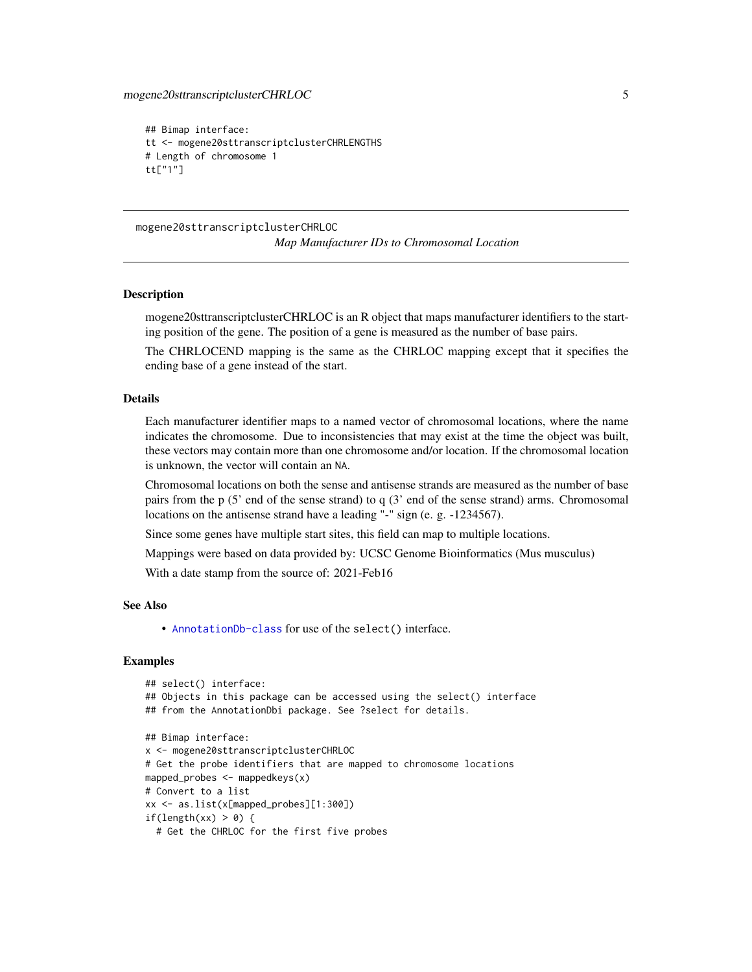```
## Bimap interface:
tt <- mogene20sttranscriptclusterCHRLENGTHS
# Length of chromosome 1
tt["1"]
```
mogene20sttranscriptclusterCHRLOC *Map Manufacturer IDs to Chromosomal Location*

## **Description**

mogene20sttranscriptclusterCHRLOC is an R object that maps manufacturer identifiers to the starting position of the gene. The position of a gene is measured as the number of base pairs.

The CHRLOCEND mapping is the same as the CHRLOC mapping except that it specifies the ending base of a gene instead of the start.

## Details

Each manufacturer identifier maps to a named vector of chromosomal locations, where the name indicates the chromosome. Due to inconsistencies that may exist at the time the object was built, these vectors may contain more than one chromosome and/or location. If the chromosomal location is unknown, the vector will contain an NA.

Chromosomal locations on both the sense and antisense strands are measured as the number of base pairs from the p (5' end of the sense strand) to q (3' end of the sense strand) arms. Chromosomal locations on the antisense strand have a leading "-" sign (e. g. -1234567).

Since some genes have multiple start sites, this field can map to multiple locations.

Mappings were based on data provided by: UCSC Genome Bioinformatics (Mus musculus)

With a date stamp from the source of: 2021-Feb16

## See Also

• [AnnotationDb-class](#page-0-0) for use of the select() interface.

```
## select() interface:
## Objects in this package can be accessed using the select() interface
## from the AnnotationDbi package. See ?select for details.
## Bimap interface:
x <- mogene20sttranscriptclusterCHRLOC
# Get the probe identifiers that are mapped to chromosome locations
mapped_probes <- mappedkeys(x)
# Convert to a list
xx <- as.list(x[mapped_probes][1:300])
if(length(xx) > 0) {
 # Get the CHRLOC for the first five probes
```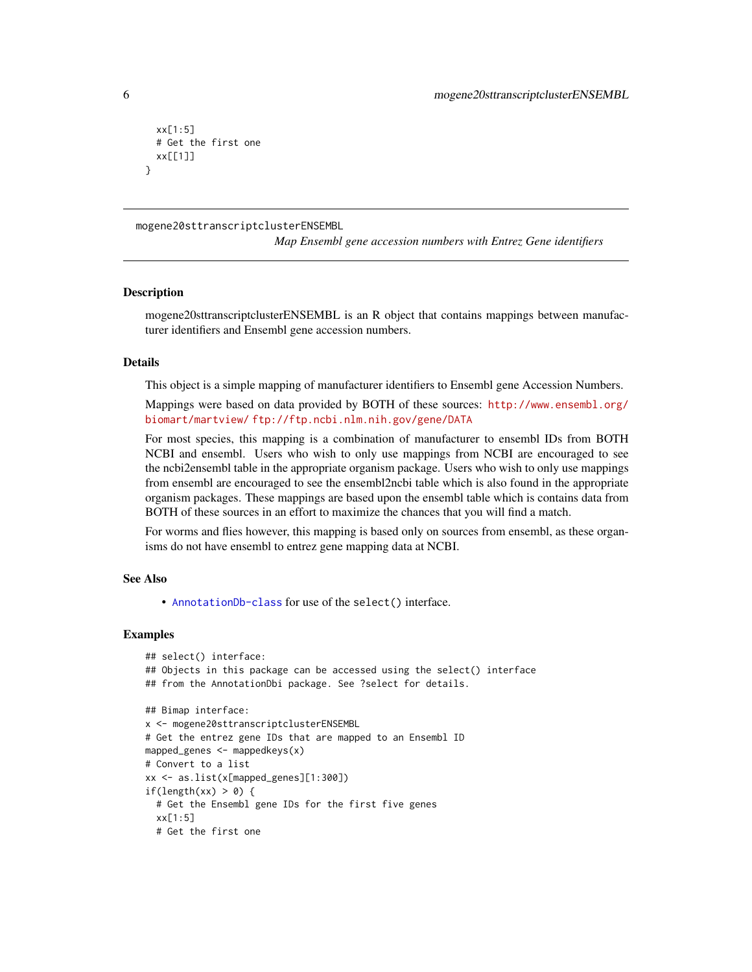```
xx[1:5]
 # Get the first one
 xx[[1]]
}
```
mogene20sttranscriptclusterENSEMBL

*Map Ensembl gene accession numbers with Entrez Gene identifiers*

#### **Description**

mogene20sttranscriptclusterENSEMBL is an R object that contains mappings between manufacturer identifiers and Ensembl gene accession numbers.

## Details

This object is a simple mapping of manufacturer identifiers to Ensembl gene Accession Numbers.

Mappings were based on data provided by BOTH of these sources: [http://www.ensembl.org/](http://www.ensembl.org/biomart/martview/) [biomart/martview/](http://www.ensembl.org/biomart/martview/) <ftp://ftp.ncbi.nlm.nih.gov/gene/DATA>

For most species, this mapping is a combination of manufacturer to ensembl IDs from BOTH NCBI and ensembl. Users who wish to only use mappings from NCBI are encouraged to see the ncbi2ensembl table in the appropriate organism package. Users who wish to only use mappings from ensembl are encouraged to see the ensembl2ncbi table which is also found in the appropriate organism packages. These mappings are based upon the ensembl table which is contains data from BOTH of these sources in an effort to maximize the chances that you will find a match.

For worms and flies however, this mapping is based only on sources from ensembl, as these organisms do not have ensembl to entrez gene mapping data at NCBI.

#### See Also

• [AnnotationDb-class](#page-0-0) for use of the select() interface.

```
## select() interface:
## Objects in this package can be accessed using the select() interface
## from the AnnotationDbi package. See ?select for details.
## Bimap interface:
x <- mogene20sttranscriptclusterENSEMBL
# Get the entrez gene IDs that are mapped to an Ensembl ID
mapped_genes <- mappedkeys(x)
# Convert to a list
xx <- as.list(x[mapped_genes][1:300])
if(length(xx) > 0) {
 # Get the Ensembl gene IDs for the first five genes
 xx[1:5]
 # Get the first one
```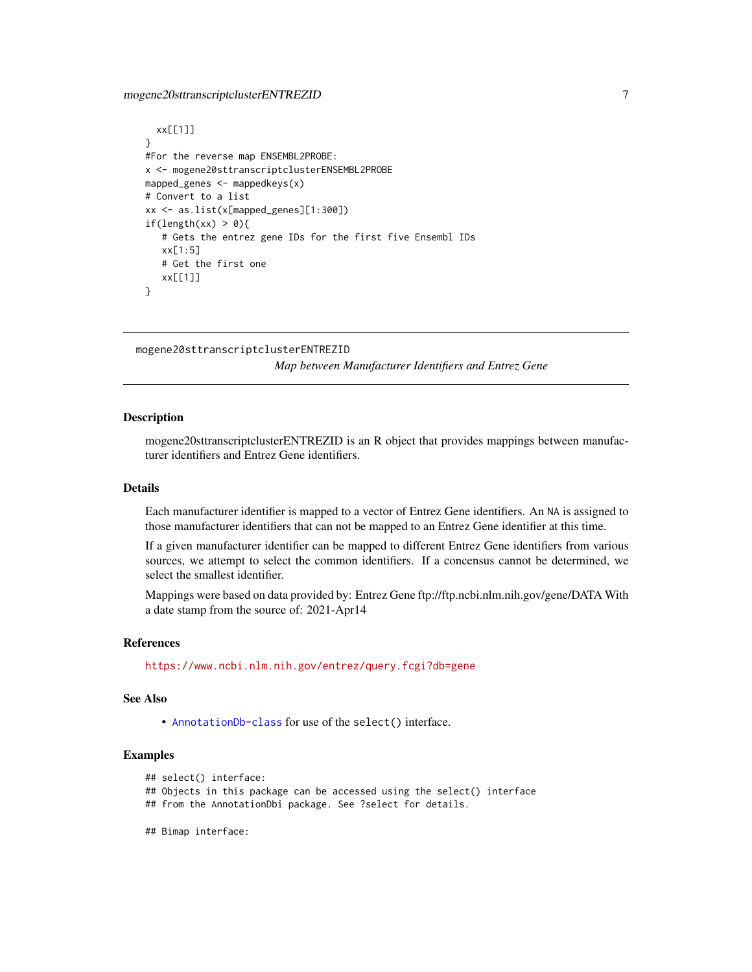## <span id="page-6-0"></span>mogene20sttranscriptclusterENTREZID 7

```
xx[[1]]
}
#For the reverse map ENSEMBL2PROBE:
x <- mogene20sttranscriptclusterENSEMBL2PROBE
mapped_genes <- mappedkeys(x)
# Convert to a list
xx <- as.list(x[mapped_genes][1:300])
if(length(xx) > 0){
   # Gets the entrez gene IDs for the first five Ensembl IDs
   xx[1:5]
   # Get the first one
   xx[[1]]
}
```

```
mogene20sttranscriptclusterENTREZID
```
*Map between Manufacturer Identifiers and Entrez Gene*

## Description

mogene20sttranscriptclusterENTREZID is an R object that provides mappings between manufacturer identifiers and Entrez Gene identifiers.

## Details

Each manufacturer identifier is mapped to a vector of Entrez Gene identifiers. An NA is assigned to those manufacturer identifiers that can not be mapped to an Entrez Gene identifier at this time.

If a given manufacturer identifier can be mapped to different Entrez Gene identifiers from various sources, we attempt to select the common identifiers. If a concensus cannot be determined, we select the smallest identifier.

Mappings were based on data provided by: Entrez Gene ftp://ftp.ncbi.nlm.nih.gov/gene/DATA With a date stamp from the source of: 2021-Apr14

#### References

<https://www.ncbi.nlm.nih.gov/entrez/query.fcgi?db=gene>

## See Also

• [AnnotationDb-class](#page-0-0) for use of the select() interface.

```
## select() interface:
```
- ## Objects in this package can be accessed using the select() interface
- ## from the AnnotationDbi package. See ?select for details.
- ## Bimap interface: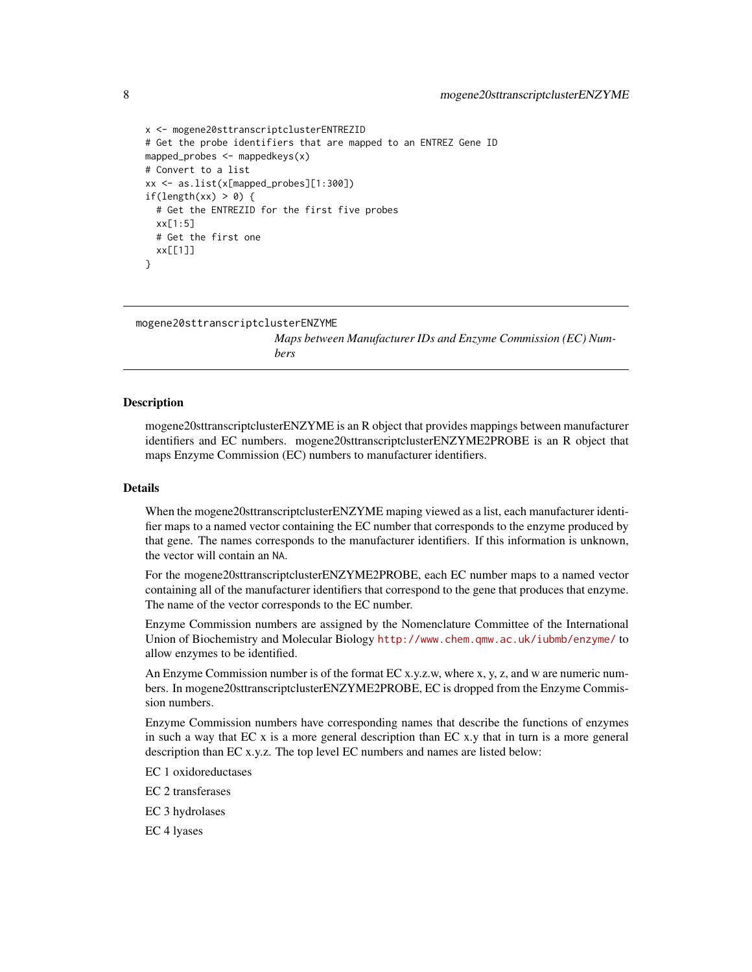```
x <- mogene20sttranscriptclusterENTREZID
# Get the probe identifiers that are mapped to an ENTREZ Gene ID
mapped_probes <- mappedkeys(x)
# Convert to a list
xx <- as.list(x[mapped_probes][1:300])
if(length(xx) > 0) {
 # Get the ENTREZID for the first five probes
 xx[1:5]
 # Get the first one
 xx[[1]]
}
```
mogene20sttranscriptclusterENZYME

*Maps between Manufacturer IDs and Enzyme Commission (EC) Numbers*

## Description

mogene20sttranscriptclusterENZYME is an R object that provides mappings between manufacturer identifiers and EC numbers. mogene20sttranscriptclusterENZYME2PROBE is an R object that maps Enzyme Commission (EC) numbers to manufacturer identifiers.

#### Details

When the mogene20sttranscriptclusterENZYME maping viewed as a list, each manufacturer identifier maps to a named vector containing the EC number that corresponds to the enzyme produced by that gene. The names corresponds to the manufacturer identifiers. If this information is unknown, the vector will contain an NA.

For the mogene20sttranscriptclusterENZYME2PROBE, each EC number maps to a named vector containing all of the manufacturer identifiers that correspond to the gene that produces that enzyme. The name of the vector corresponds to the EC number.

Enzyme Commission numbers are assigned by the Nomenclature Committee of the International Union of Biochemistry and Molecular Biology <http://www.chem.qmw.ac.uk/iubmb/enzyme/> to allow enzymes to be identified.

An Enzyme Commission number is of the format EC x.y.z.w, where x, y, z, and w are numeric numbers. In mogene20sttranscriptclusterENZYME2PROBE, EC is dropped from the Enzyme Commission numbers.

Enzyme Commission numbers have corresponding names that describe the functions of enzymes in such a way that  $ECx$  is a more general description than  $ECx$ , that in turn is a more general description than EC x.y.z. The top level EC numbers and names are listed below:

EC 1 oxidoreductases

EC 2 transferases

EC 3 hydrolases

EC 4 lyases

<span id="page-7-0"></span>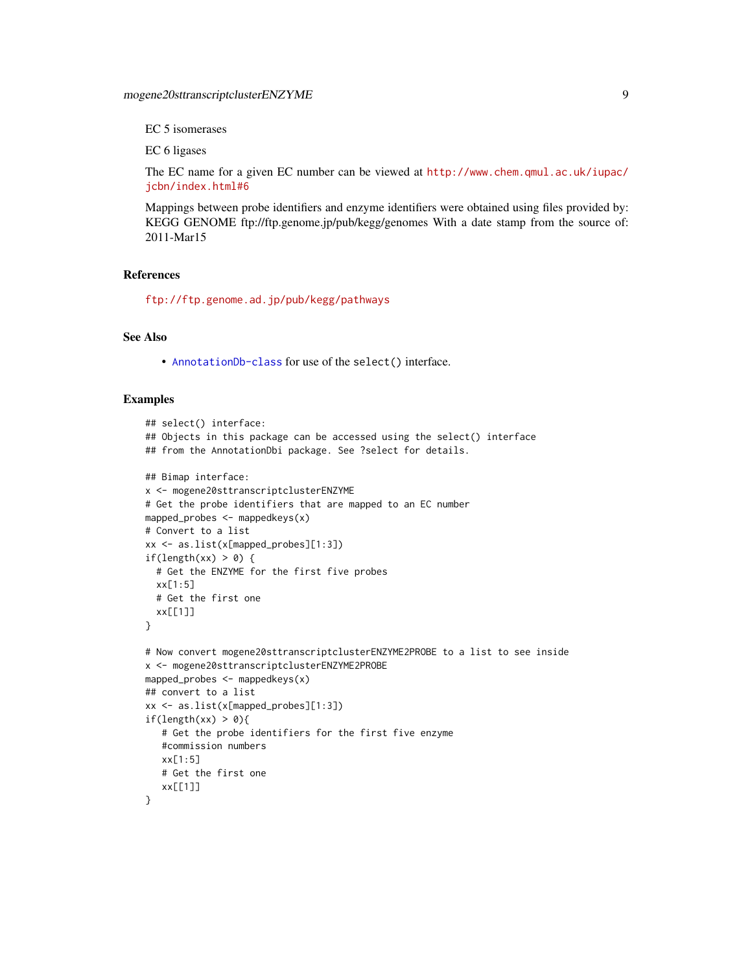EC 5 isomerases

EC 6 ligases

The EC name for a given EC number can be viewed at [http://www.chem.qmul.ac.uk/iupac/](http://www.chem.qmul.ac.uk/iupac/jcbn/index.html#6) [jcbn/index.html#6](http://www.chem.qmul.ac.uk/iupac/jcbn/index.html#6)

Mappings between probe identifiers and enzyme identifiers were obtained using files provided by: KEGG GENOME ftp://ftp.genome.jp/pub/kegg/genomes With a date stamp from the source of: 2011-Mar15

## References

<ftp://ftp.genome.ad.jp/pub/kegg/pathways>

## See Also

• [AnnotationDb-class](#page-0-0) for use of the select() interface.

```
## select() interface:
## Objects in this package can be accessed using the select() interface
## from the AnnotationDbi package. See ?select for details.
## Bimap interface:
x <- mogene20sttranscriptclusterENZYME
# Get the probe identifiers that are mapped to an EC number
mapped_probes <- mappedkeys(x)
# Convert to a list
xx <- as.list(x[mapped_probes][1:3])
if(length(xx) > 0) {
  # Get the ENZYME for the first five probes
  xx[1:5]
  # Get the first one
  xx[[1]]
}
# Now convert mogene20sttranscriptclusterENZYME2PROBE to a list to see inside
x <- mogene20sttranscriptclusterENZYME2PROBE
mapped_probes <- mappedkeys(x)
## convert to a list
xx <- as.list(x[mapped_probes][1:3])
if(length(xx) > 0){
   # Get the probe identifiers for the first five enzyme
   #commission numbers
   xx[1:5]
   # Get the first one
   xx[[1]]
}
```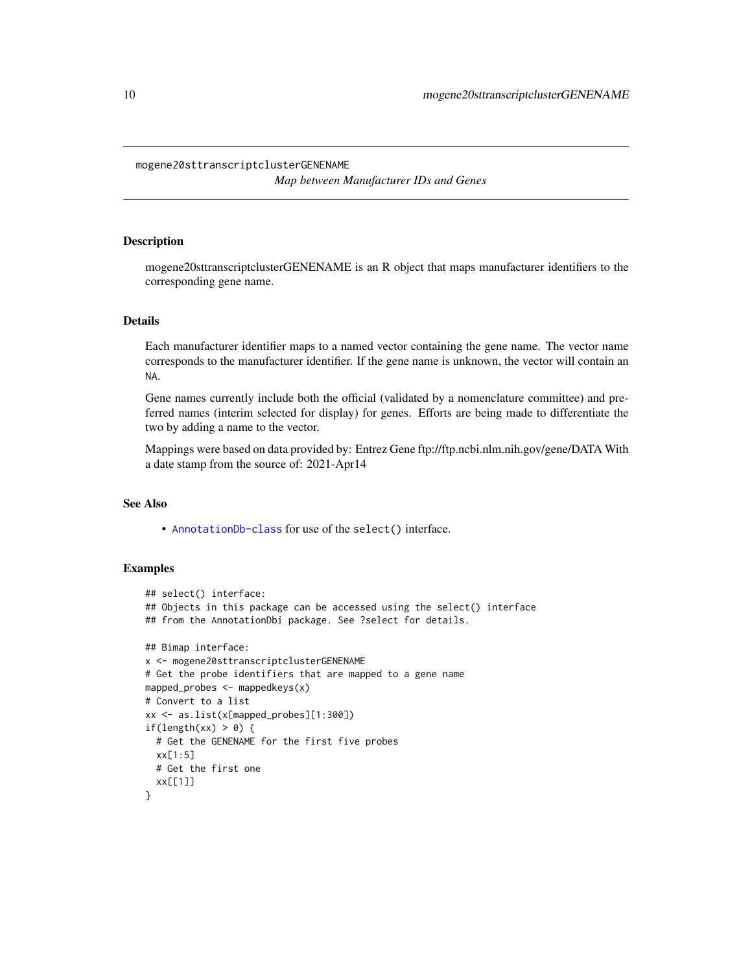#### <span id="page-9-0"></span>mogene20sttranscriptclusterGENENAME

*Map between Manufacturer IDs and Genes*

## Description

mogene20sttranscriptclusterGENENAME is an R object that maps manufacturer identifiers to the corresponding gene name.

#### Details

Each manufacturer identifier maps to a named vector containing the gene name. The vector name corresponds to the manufacturer identifier. If the gene name is unknown, the vector will contain an NA.

Gene names currently include both the official (validated by a nomenclature committee) and preferred names (interim selected for display) for genes. Efforts are being made to differentiate the two by adding a name to the vector.

Mappings were based on data provided by: Entrez Gene ftp://ftp.ncbi.nlm.nih.gov/gene/DATA With a date stamp from the source of: 2021-Apr14

## See Also

• [AnnotationDb-class](#page-0-0) for use of the select() interface.

```
## select() interface:
## Objects in this package can be accessed using the select() interface
## from the AnnotationDbi package. See ?select for details.
## Bimap interface:
x <- mogene20sttranscriptclusterGENENAME
# Get the probe identifiers that are mapped to a gene name
mapped_probes <- mappedkeys(x)
# Convert to a list
xx <- as.list(x[mapped_probes][1:300])
if(length(xx) > 0) {
  # Get the GENENAME for the first five probes
  xx[1:5]
  # Get the first one
  xx[[1]]
}
```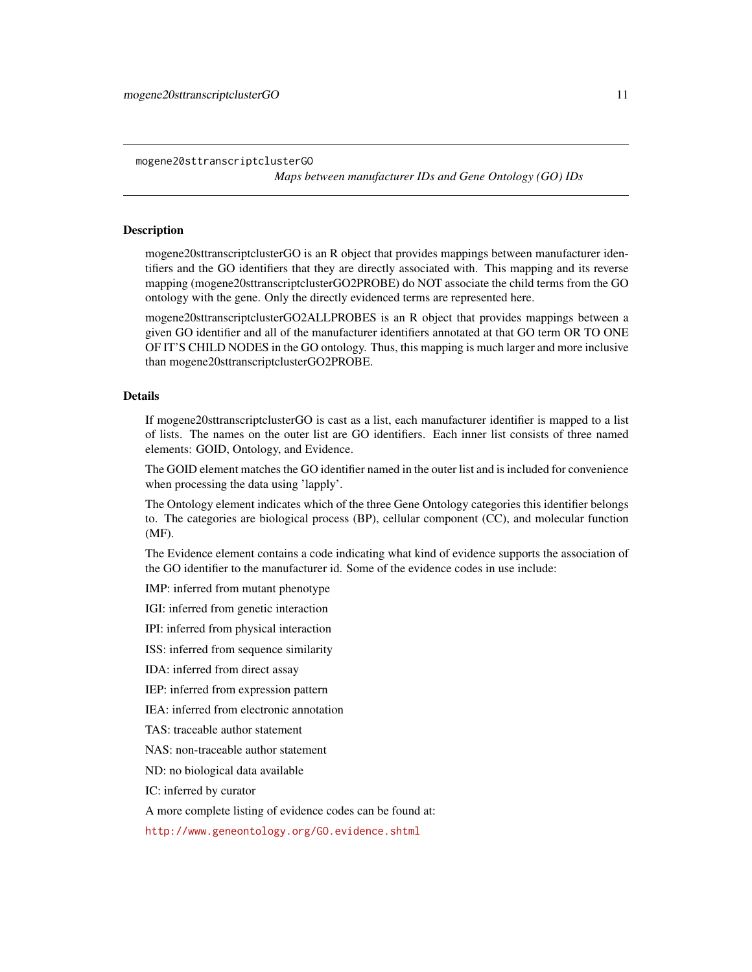<span id="page-10-1"></span>mogene20sttranscriptclusterGO

*Maps between manufacturer IDs and Gene Ontology (GO) IDs*

## <span id="page-10-0"></span>Description

mogene20sttranscriptclusterGO is an R object that provides mappings between manufacturer identifiers and the GO identifiers that they are directly associated with. This mapping and its reverse mapping (mogene20sttranscriptclusterGO2PROBE) do NOT associate the child terms from the GO ontology with the gene. Only the directly evidenced terms are represented here.

mogene20sttranscriptclusterGO2ALLPROBES is an R object that provides mappings between a given GO identifier and all of the manufacturer identifiers annotated at that GO term OR TO ONE OF IT'S CHILD NODES in the GO ontology. Thus, this mapping is much larger and more inclusive than mogene20sttranscriptclusterGO2PROBE.

#### Details

If mogene20sttranscriptclusterGO is cast as a list, each manufacturer identifier is mapped to a list of lists. The names on the outer list are GO identifiers. Each inner list consists of three named elements: GOID, Ontology, and Evidence.

The GOID element matches the GO identifier named in the outer list and is included for convenience when processing the data using 'lapply'.

The Ontology element indicates which of the three Gene Ontology categories this identifier belongs to. The categories are biological process (BP), cellular component (CC), and molecular function (MF).

The Evidence element contains a code indicating what kind of evidence supports the association of the GO identifier to the manufacturer id. Some of the evidence codes in use include:

IMP: inferred from mutant phenotype

IGI: inferred from genetic interaction

IPI: inferred from physical interaction

ISS: inferred from sequence similarity

IDA: inferred from direct assay

IEP: inferred from expression pattern

IEA: inferred from electronic annotation

TAS: traceable author statement

NAS: non-traceable author statement

ND: no biological data available

IC: inferred by curator

A more complete listing of evidence codes can be found at:

<http://www.geneontology.org/GO.evidence.shtml>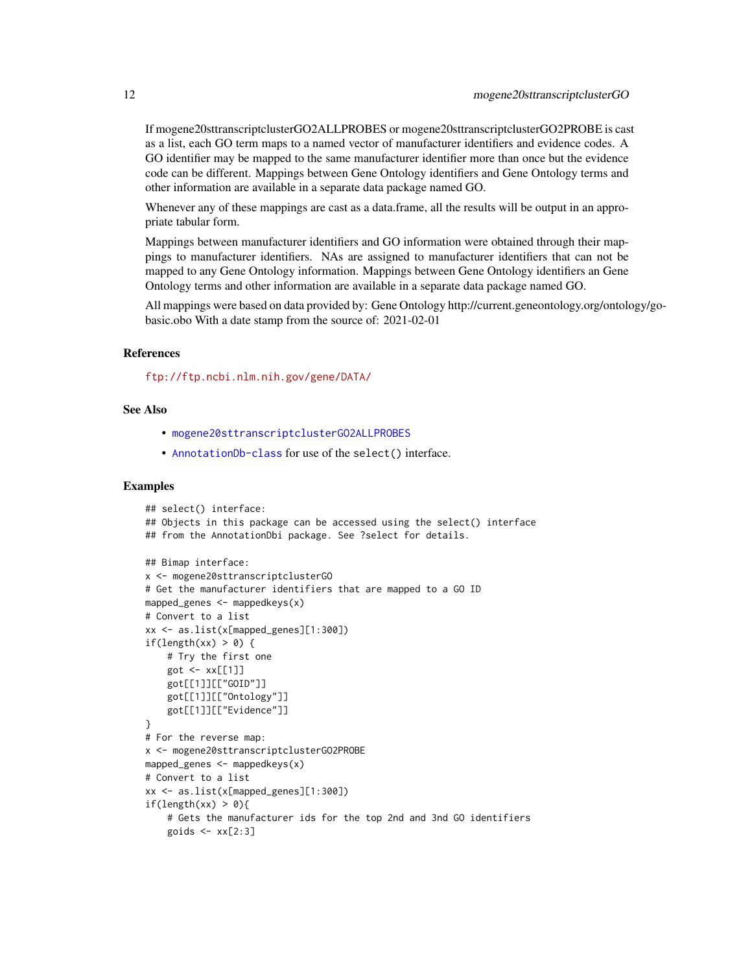<span id="page-11-0"></span>If mogene20sttranscriptclusterGO2ALLPROBES or mogene20sttranscriptclusterGO2PROBE is cast as a list, each GO term maps to a named vector of manufacturer identifiers and evidence codes. A GO identifier may be mapped to the same manufacturer identifier more than once but the evidence code can be different. Mappings between Gene Ontology identifiers and Gene Ontology terms and other information are available in a separate data package named GO.

Whenever any of these mappings are cast as a data.frame, all the results will be output in an appropriate tabular form.

Mappings between manufacturer identifiers and GO information were obtained through their mappings to manufacturer identifiers. NAs are assigned to manufacturer identifiers that can not be mapped to any Gene Ontology information. Mappings between Gene Ontology identifiers an Gene Ontology terms and other information are available in a separate data package named GO.

All mappings were based on data provided by: Gene Ontology http://current.geneontology.org/ontology/gobasic.obo With a date stamp from the source of: 2021-02-01

## References

<ftp://ftp.ncbi.nlm.nih.gov/gene/DATA/>

## See Also

- [mogene20sttranscriptclusterGO2ALLPROBES](#page-10-0)
- [AnnotationDb-class](#page-0-0) for use of the select() interface.

```
## select() interface:
## Objects in this package can be accessed using the select() interface
## from the AnnotationDbi package. See ?select for details.
## Bimap interface:
x <- mogene20sttranscriptclusterGO
# Get the manufacturer identifiers that are mapped to a GO ID
mapped_genes \leq mappedkeys(x)
# Convert to a list
xx <- as.list(x[mapped_genes][1:300])
if(length(xx) > 0) {
    # Try the first one
    got \leftarrow xx[[1]]got[[1]][["GOID"]]
    got[[1]][["Ontology"]]
    got[[1]][["Evidence"]]
}
# For the reverse map:
x <- mogene20sttranscriptclusterGO2PROBE
mapped_genes <- mappedkeys(x)
# Convert to a list
xx <- as.list(x[mapped_genes][1:300])
if(length(xx) > 0){
    # Gets the manufacturer ids for the top 2nd and 3nd GO identifiers
    goids \leq -x \times [2:3]
```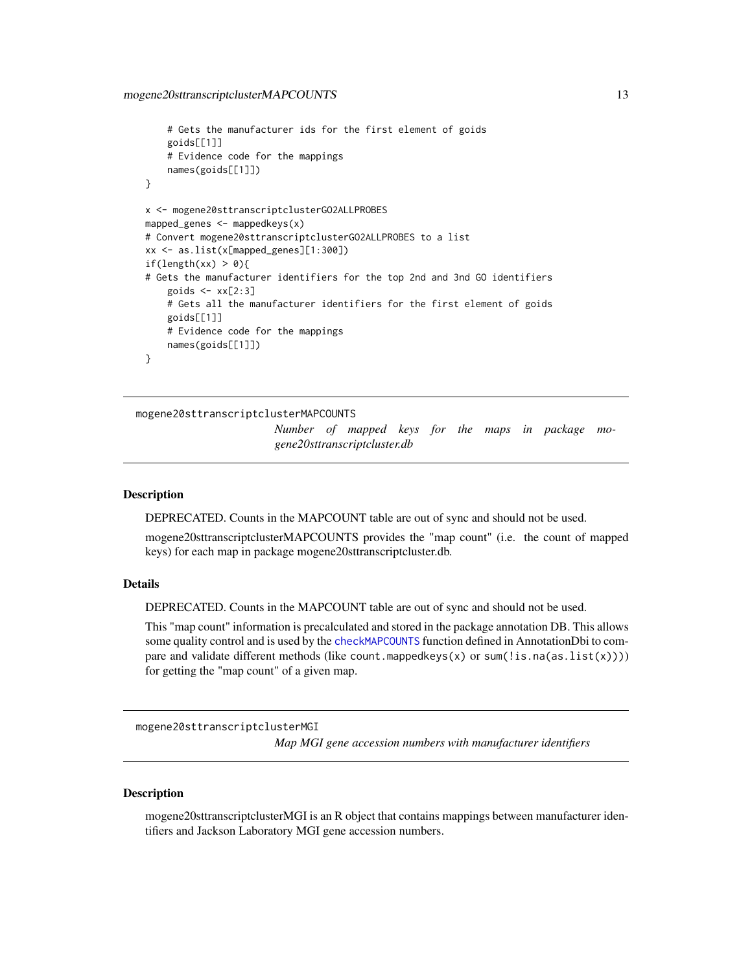```
# Gets the manufacturer ids for the first element of goids
    goids[[1]]
    # Evidence code for the mappings
   names(goids[[1]])
}
x <- mogene20sttranscriptclusterGO2ALLPROBES
mapped_genes <- mappedkeys(x)
# Convert mogene20sttranscriptclusterGO2ALLPROBES to a list
xx <- as.list(x[mapped_genes][1:300])
if(length(xx) > 0){
# Gets the manufacturer identifiers for the top 2nd and 3nd GO identifiers
    goids \leq -x \times [2:3]# Gets all the manufacturer identifiers for the first element of goids
   goids[[1]]
    # Evidence code for the mappings
   names(goids[[1]])
}
```

```
mogene20sttranscriptclusterMAPCOUNTS
```
*Number of mapped keys for the maps in package mogene20sttranscriptcluster.db*

#### Description

DEPRECATED. Counts in the MAPCOUNT table are out of sync and should not be used.

mogene20sttranscriptclusterMAPCOUNTS provides the "map count" (i.e. the count of mapped keys) for each map in package mogene20sttranscriptcluster.db.

## Details

DEPRECATED. Counts in the MAPCOUNT table are out of sync and should not be used.

This "map count" information is precalculated and stored in the package annotation DB. This allows some quality control and is used by the [checkMAPCOUNTS](#page-0-0) function defined in AnnotationDbi to compare and validate different methods (like count.mappedkeys $(x)$  or sum(!is.na(as.list(x)))) for getting the "map count" of a given map.

mogene20sttranscriptclusterMGI *Map MGI gene accession numbers with manufacturer identifiers*

#### **Description**

mogene20sttranscriptclusterMGI is an R object that contains mappings between manufacturer identifiers and Jackson Laboratory MGI gene accession numbers.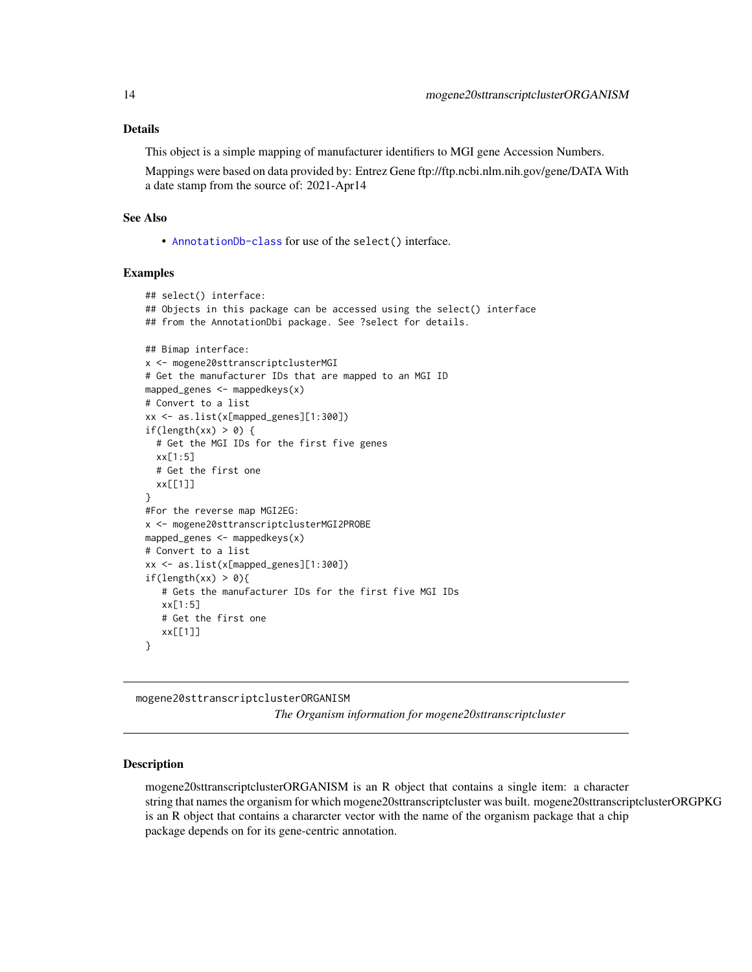## <span id="page-13-0"></span>Details

This object is a simple mapping of manufacturer identifiers to MGI gene Accession Numbers.

Mappings were based on data provided by: Entrez Gene ftp://ftp.ncbi.nlm.nih.gov/gene/DATA With a date stamp from the source of: 2021-Apr14

## See Also

• [AnnotationDb-class](#page-0-0) for use of the select() interface.

## Examples

```
## select() interface:
## Objects in this package can be accessed using the select() interface
## from the AnnotationDbi package. See ?select for details.
## Bimap interface:
x <- mogene20sttranscriptclusterMGI
# Get the manufacturer IDs that are mapped to an MGI ID
mapped_genes <- mappedkeys(x)
# Convert to a list
xx <- as.list(x[mapped_genes][1:300])
if(length(xx) > 0) {
  # Get the MGI IDs for the first five genes
  xx[1:5]
  # Get the first one
  xx[[1]]
}
#For the reverse map MGI2EG:
x <- mogene20sttranscriptclusterMGI2PROBE
mapped_genes \leq mappedkeys(x)
# Convert to a list
xx <- as.list(x[mapped_genes][1:300])
if(length(xx) > 0){
   # Gets the manufacturer IDs for the first five MGI IDs
   xx[1:5]
   # Get the first one
   xx[[1]]
}
```
mogene20sttranscriptclusterORGANISM

*The Organism information for mogene20sttranscriptcluster*

## Description

mogene20sttranscriptclusterORGANISM is an R object that contains a single item: a character string that names the organism for which mogene20sttranscriptcluster was built. mogene20sttranscriptclusterORGPKG is an R object that contains a chararcter vector with the name of the organism package that a chip package depends on for its gene-centric annotation.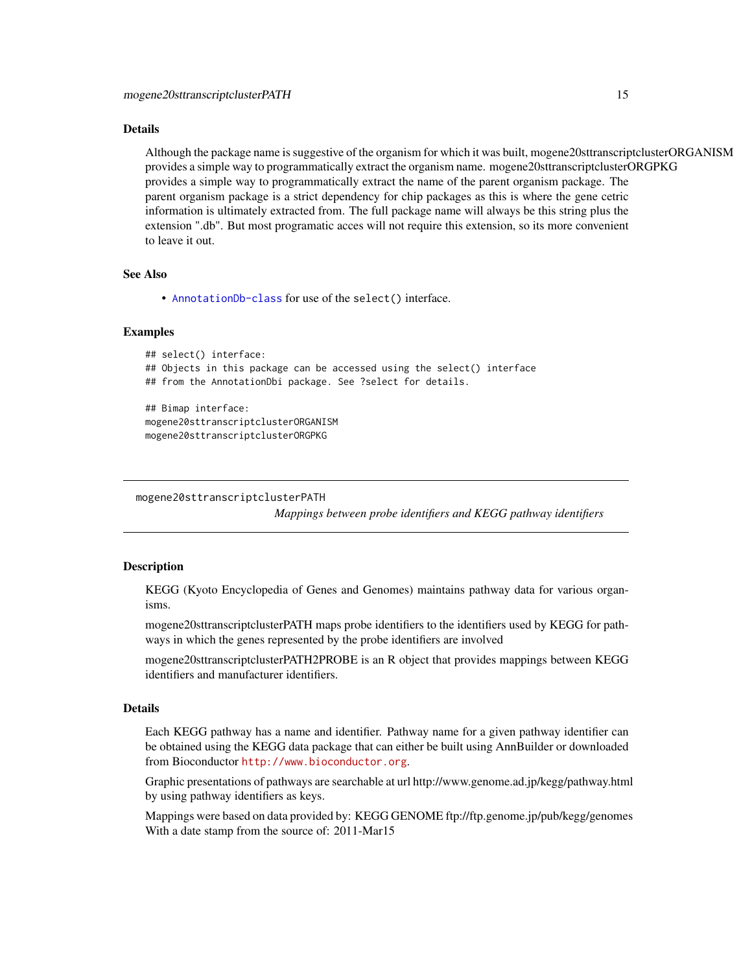#### <span id="page-14-0"></span>Details

Although the package name is suggestive of the organism for which it was built, mogene20sttranscriptclusterORGANISM provides a simple way to programmatically extract the organism name. mogene20sttranscriptclusterORGPKG provides a simple way to programmatically extract the name of the parent organism package. The parent organism package is a strict dependency for chip packages as this is where the gene cetric information is ultimately extracted from. The full package name will always be this string plus the extension ".db". But most programatic acces will not require this extension, so its more convenient to leave it out.

## See Also

• [AnnotationDb-class](#page-0-0) for use of the select() interface.

## Examples

```
## select() interface:
## Objects in this package can be accessed using the select() interface
## from the AnnotationDbi package. See ?select for details.
## Bimap interface:
mogene20sttranscriptclusterORGANISM
mogene20sttranscriptclusterORGPKG
```
mogene20sttranscriptclusterPATH

*Mappings between probe identifiers and KEGG pathway identifiers*

## Description

KEGG (Kyoto Encyclopedia of Genes and Genomes) maintains pathway data for various organisms.

mogene20sttranscriptclusterPATH maps probe identifiers to the identifiers used by KEGG for pathways in which the genes represented by the probe identifiers are involved

mogene20sttranscriptclusterPATH2PROBE is an R object that provides mappings between KEGG identifiers and manufacturer identifiers.

## Details

Each KEGG pathway has a name and identifier. Pathway name for a given pathway identifier can be obtained using the KEGG data package that can either be built using AnnBuilder or downloaded from Bioconductor <http://www.bioconductor.org>.

Graphic presentations of pathways are searchable at url http://www.genome.ad.jp/kegg/pathway.html by using pathway identifiers as keys.

Mappings were based on data provided by: KEGG GENOME ftp://ftp.genome.jp/pub/kegg/genomes With a date stamp from the source of: 2011-Mar15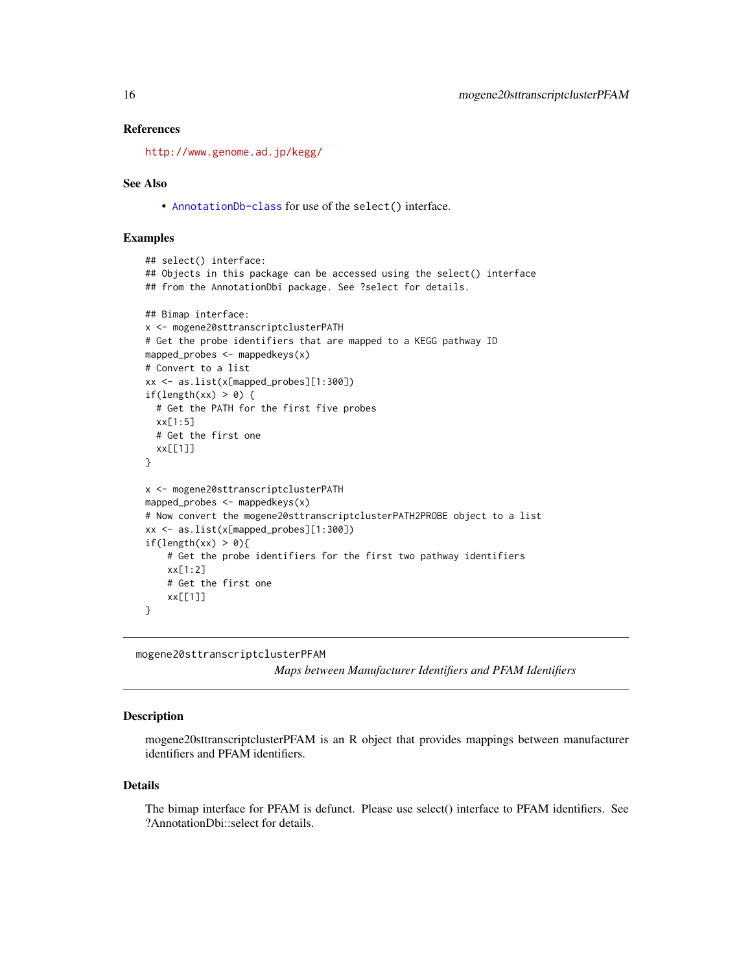## <span id="page-15-0"></span>References

<http://www.genome.ad.jp/kegg/>

#### See Also

• [AnnotationDb-class](#page-0-0) for use of the select() interface.

## Examples

```
## select() interface:
## Objects in this package can be accessed using the select() interface
## from the AnnotationDbi package. See ?select for details.
## Bimap interface:
x <- mogene20sttranscriptclusterPATH
# Get the probe identifiers that are mapped to a KEGG pathway ID
mapped_probes <- mappedkeys(x)
# Convert to a list
xx <- as.list(x[mapped_probes][1:300])
if(length(xx) > 0) {
  # Get the PATH for the first five probes
  xx[1:5]
  # Get the first one
  xx[[1]]
}
x <- mogene20sttranscriptclusterPATH
mapped_probes <- mappedkeys(x)
# Now convert the mogene20sttranscriptclusterPATH2PROBE object to a list
xx <- as.list(x[mapped_probes][1:300])
if(length(xx) > 0){
    # Get the probe identifiers for the first two pathway identifiers
    xx[1:2]
    # Get the first one
    xx[[1]]
}
```
mogene20sttranscriptclusterPFAM

*Maps between Manufacturer Identifiers and PFAM Identifiers*

#### **Description**

mogene20sttranscriptclusterPFAM is an R object that provides mappings between manufacturer identifiers and PFAM identifiers.

#### Details

The bimap interface for PFAM is defunct. Please use select() interface to PFAM identifiers. See ?AnnotationDbi::select for details.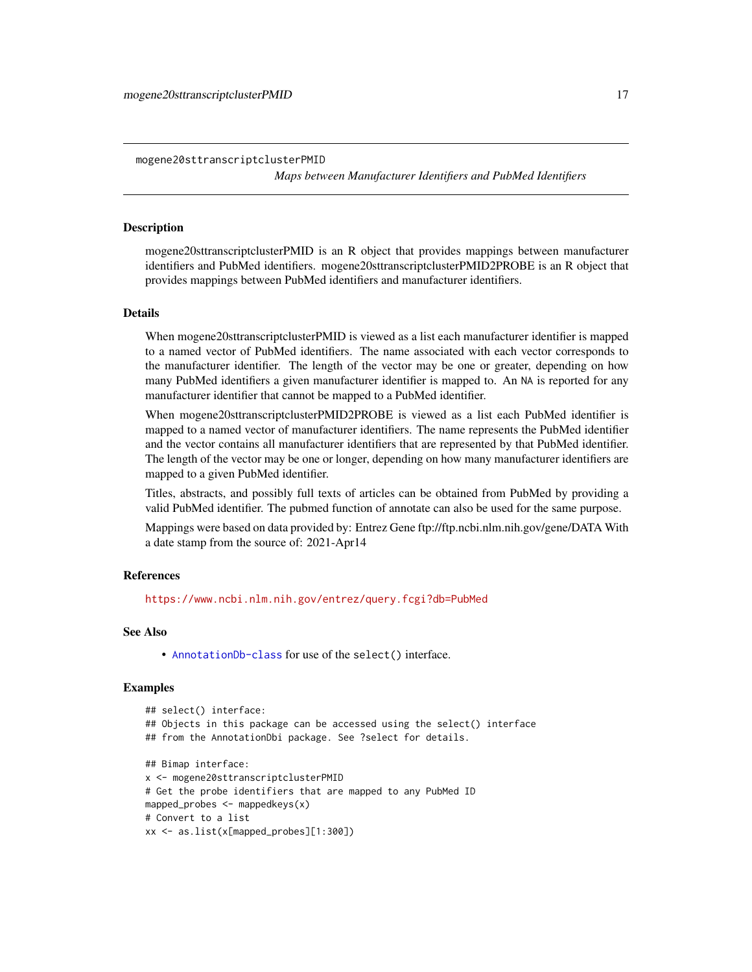<span id="page-16-0"></span>mogene20sttranscriptclusterPMID *Maps between Manufacturer Identifiers and PubMed Identifiers*

## **Description**

mogene20sttranscriptclusterPMID is an R object that provides mappings between manufacturer identifiers and PubMed identifiers. mogene20sttranscriptclusterPMID2PROBE is an R object that provides mappings between PubMed identifiers and manufacturer identifiers.

#### Details

When mogene20sttranscriptclusterPMID is viewed as a list each manufacturer identifier is mapped to a named vector of PubMed identifiers. The name associated with each vector corresponds to the manufacturer identifier. The length of the vector may be one or greater, depending on how many PubMed identifiers a given manufacturer identifier is mapped to. An NA is reported for any manufacturer identifier that cannot be mapped to a PubMed identifier.

When mogene20sttranscriptclusterPMID2PROBE is viewed as a list each PubMed identifier is mapped to a named vector of manufacturer identifiers. The name represents the PubMed identifier and the vector contains all manufacturer identifiers that are represented by that PubMed identifier. The length of the vector may be one or longer, depending on how many manufacturer identifiers are mapped to a given PubMed identifier.

Titles, abstracts, and possibly full texts of articles can be obtained from PubMed by providing a valid PubMed identifier. The pubmed function of annotate can also be used for the same purpose.

Mappings were based on data provided by: Entrez Gene ftp://ftp.ncbi.nlm.nih.gov/gene/DATA With a date stamp from the source of: 2021-Apr14

#### References

<https://www.ncbi.nlm.nih.gov/entrez/query.fcgi?db=PubMed>

#### See Also

• [AnnotationDb-class](#page-0-0) for use of the select() interface.

```
## select() interface:
## Objects in this package can be accessed using the select() interface
## from the AnnotationDbi package. See ?select for details.
## Bimap interface:
x <- mogene20sttranscriptclusterPMID
# Get the probe identifiers that are mapped to any PubMed ID
mapped_probes <- mappedkeys(x)
# Convert to a list
xx <- as.list(x[mapped_probes][1:300])
```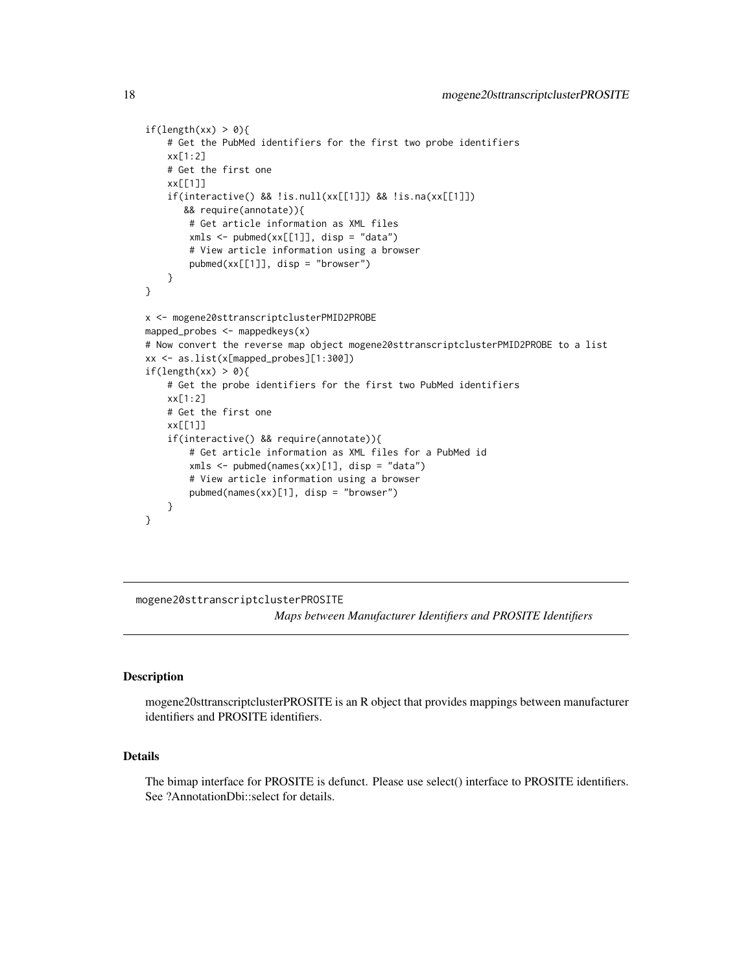```
if(length(xx) > 0){
    # Get the PubMed identifiers for the first two probe identifiers
   xx[1:2]
   # Get the first one
   xx[[1]]
    if(interactive() && !is.null(xx[[1]]) && !is.na(xx[[1]])
      && require(annotate)){
       # Get article information as XML files
       xmls < -pubmed(xx[[1]], disp = "data")# View article information using a browser
       pubmed(xx[[1]], disp = "browser")
    }
}
x <- mogene20sttranscriptclusterPMID2PROBE
mapped_probes <- mappedkeys(x)
# Now convert the reverse map object mogene20sttranscriptclusterPMID2PROBE to a list
xx <- as.list(x[mapped_probes][1:300])
if(length(xx) > 0){
    # Get the probe identifiers for the first two PubMed identifiers
   xx[1:2]
    # Get the first one
   xx[[1]]
    if(interactive() && require(annotate)){
       # Get article information as XML files for a PubMed id
       xmls < -pubmed(names(xx)[1], disp = "data")# View article information using a browser
       pubmed(names(xx)[1], disp = "browser")
   }
}
```
mogene20sttranscriptclusterPROSITE

*Maps between Manufacturer Identifiers and PROSITE Identifiers*

## **Description**

mogene20sttranscriptclusterPROSITE is an R object that provides mappings between manufacturer identifiers and PROSITE identifiers.

## Details

The bimap interface for PROSITE is defunct. Please use select() interface to PROSITE identifiers. See ?AnnotationDbi::select for details.

<span id="page-17-0"></span>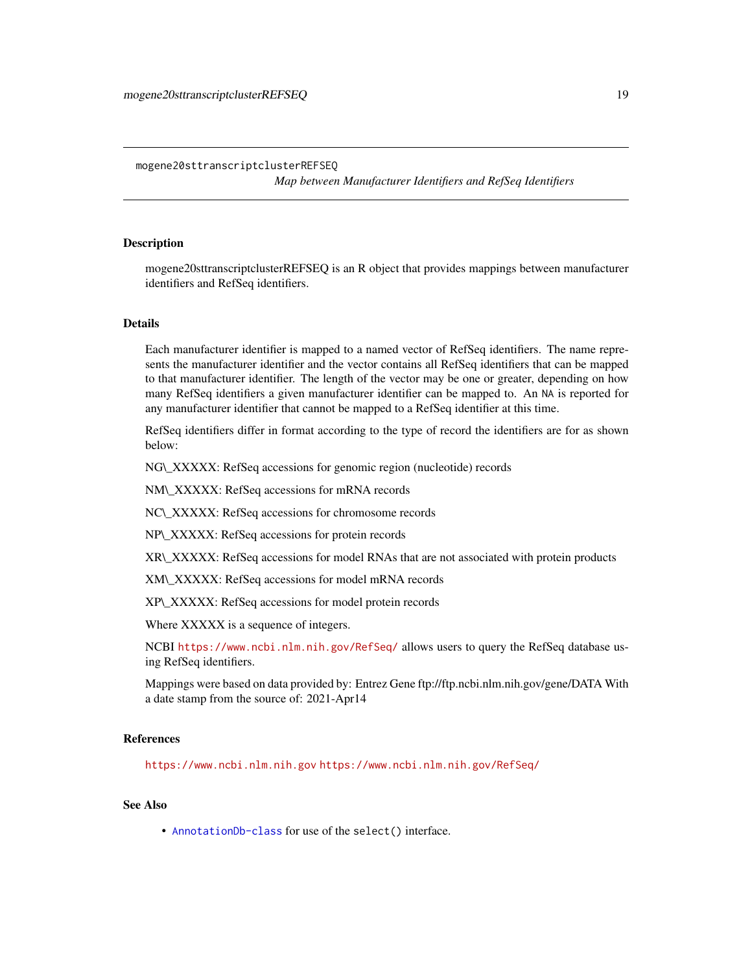*Map between Manufacturer Identifiers and RefSeq Identifiers*

## <span id="page-18-0"></span>Description

mogene20sttranscriptclusterREFSEQ is an R object that provides mappings between manufacturer identifiers and RefSeq identifiers.

## Details

Each manufacturer identifier is mapped to a named vector of RefSeq identifiers. The name represents the manufacturer identifier and the vector contains all RefSeq identifiers that can be mapped to that manufacturer identifier. The length of the vector may be one or greater, depending on how many RefSeq identifiers a given manufacturer identifier can be mapped to. An NA is reported for any manufacturer identifier that cannot be mapped to a RefSeq identifier at this time.

RefSeq identifiers differ in format according to the type of record the identifiers are for as shown below:

NG\\_XXXXX: RefSeq accessions for genomic region (nucleotide) records

NM\\_XXXXX: RefSeq accessions for mRNA records

NC\\_XXXXX: RefSeq accessions for chromosome records

NP\\_XXXXX: RefSeq accessions for protein records

XR\\_XXXXX: RefSeq accessions for model RNAs that are not associated with protein products

XM\\_XXXXX: RefSeq accessions for model mRNA records

XP\\_XXXXX: RefSeq accessions for model protein records

Where XXXXX is a sequence of integers.

NCBI <https://www.ncbi.nlm.nih.gov/RefSeq/> allows users to query the RefSeq database using RefSeq identifiers.

Mappings were based on data provided by: Entrez Gene ftp://ftp.ncbi.nlm.nih.gov/gene/DATA With a date stamp from the source of: 2021-Apr14

## References

<https://www.ncbi.nlm.nih.gov> <https://www.ncbi.nlm.nih.gov/RefSeq/>

## See Also

• [AnnotationDb-class](#page-0-0) for use of the select() interface.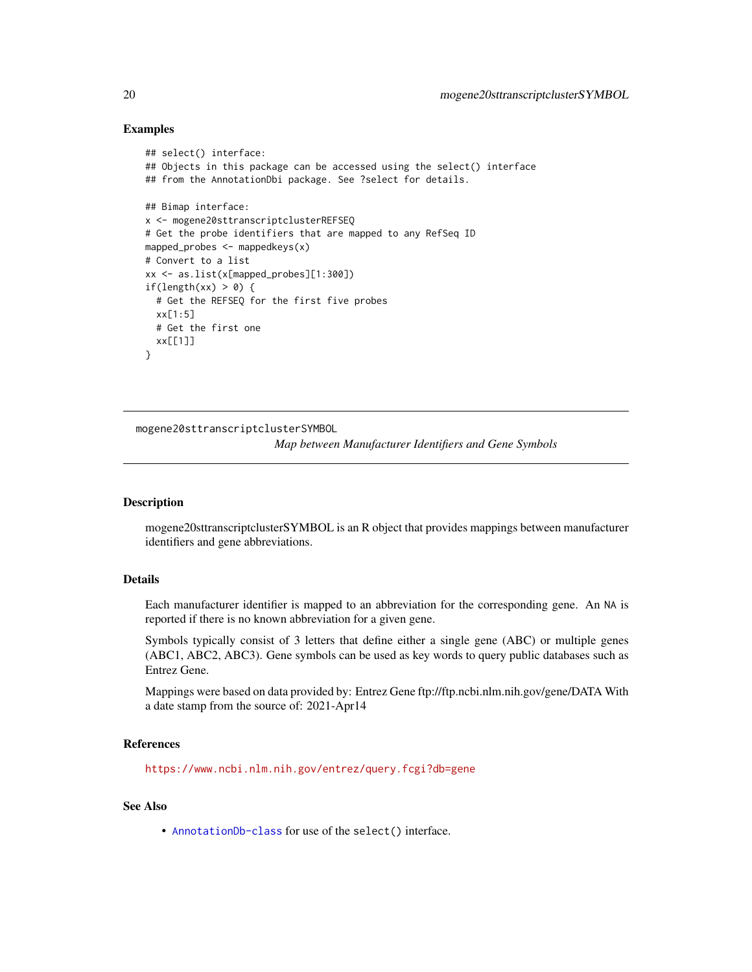## Examples

```
## select() interface:
## Objects in this package can be accessed using the select() interface
## from the AnnotationDbi package. See ?select for details.
## Bimap interface:
x <- mogene20sttranscriptclusterREFSEQ
# Get the probe identifiers that are mapped to any RefSeq ID
mapped_probes <- mappedkeys(x)
# Convert to a list
xx <- as.list(x[mapped_probes][1:300])
if(length(xx) > 0) {
  # Get the REFSEQ for the first five probes
  xx[1:5]
  # Get the first one
  xx[[1]]
}
```
mogene20sttranscriptclusterSYMBOL

*Map between Manufacturer Identifiers and Gene Symbols*

## Description

mogene20sttranscriptclusterSYMBOL is an R object that provides mappings between manufacturer identifiers and gene abbreviations.

## Details

Each manufacturer identifier is mapped to an abbreviation for the corresponding gene. An NA is reported if there is no known abbreviation for a given gene.

Symbols typically consist of 3 letters that define either a single gene (ABC) or multiple genes (ABC1, ABC2, ABC3). Gene symbols can be used as key words to query public databases such as Entrez Gene.

Mappings were based on data provided by: Entrez Gene ftp://ftp.ncbi.nlm.nih.gov/gene/DATA With a date stamp from the source of: 2021-Apr14

## References

<https://www.ncbi.nlm.nih.gov/entrez/query.fcgi?db=gene>

## See Also

• [AnnotationDb-class](#page-0-0) for use of the select() interface.

<span id="page-19-0"></span>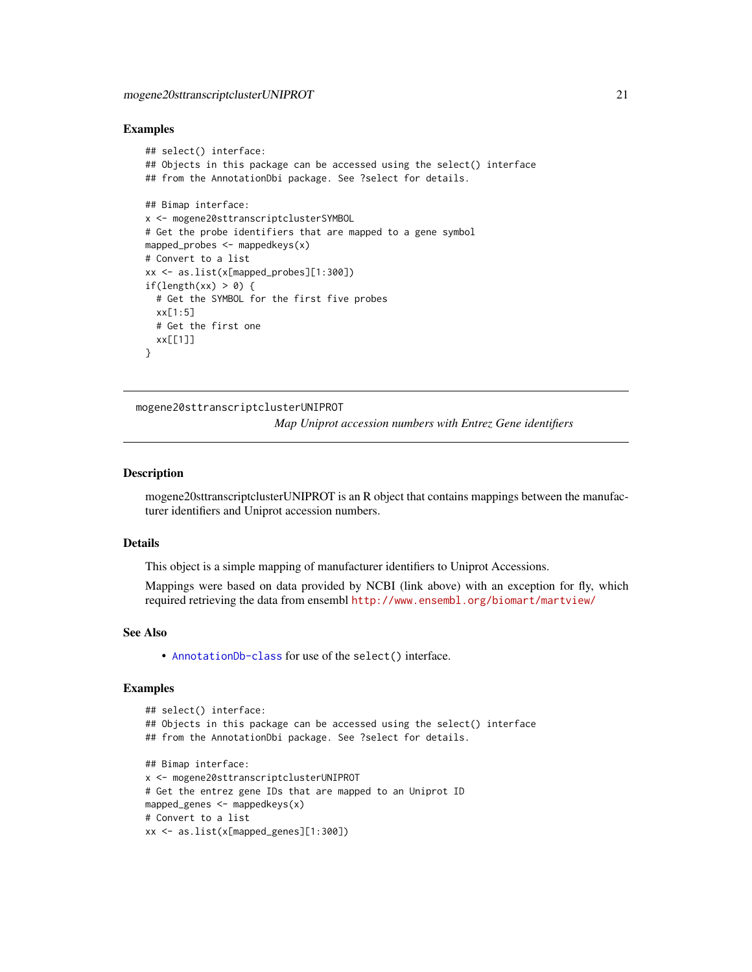#### <span id="page-20-0"></span>Examples

```
## select() interface:
## Objects in this package can be accessed using the select() interface
## from the AnnotationDbi package. See ?select for details.
## Bimap interface:
x <- mogene20sttranscriptclusterSYMBOL
# Get the probe identifiers that are mapped to a gene symbol
mapped_probes <- mappedkeys(x)
# Convert to a list
xx <- as.list(x[mapped_probes][1:300])
if(length(xx) > 0) {
  # Get the SYMBOL for the first five probes
  xx[1:5]
  # Get the first one
  xx[[1]]
}
```
mogene20sttranscriptclusterUNIPROT

*Map Uniprot accession numbers with Entrez Gene identifiers*

## **Description**

mogene20sttranscriptclusterUNIPROT is an R object that contains mappings between the manufacturer identifiers and Uniprot accession numbers.

#### Details

This object is a simple mapping of manufacturer identifiers to Uniprot Accessions.

Mappings were based on data provided by NCBI (link above) with an exception for fly, which required retrieving the data from ensembl <http://www.ensembl.org/biomart/martview/>

#### See Also

• [AnnotationDb-class](#page-0-0) for use of the select() interface.

```
## select() interface:
## Objects in this package can be accessed using the select() interface
## from the AnnotationDbi package. See ?select for details.
## Bimap interface:
x <- mogene20sttranscriptclusterUNIPROT
# Get the entrez gene IDs that are mapped to an Uniprot ID
mapped_genes <- mappedkeys(x)
# Convert to a list
xx <- as.list(x[mapped_genes][1:300])
```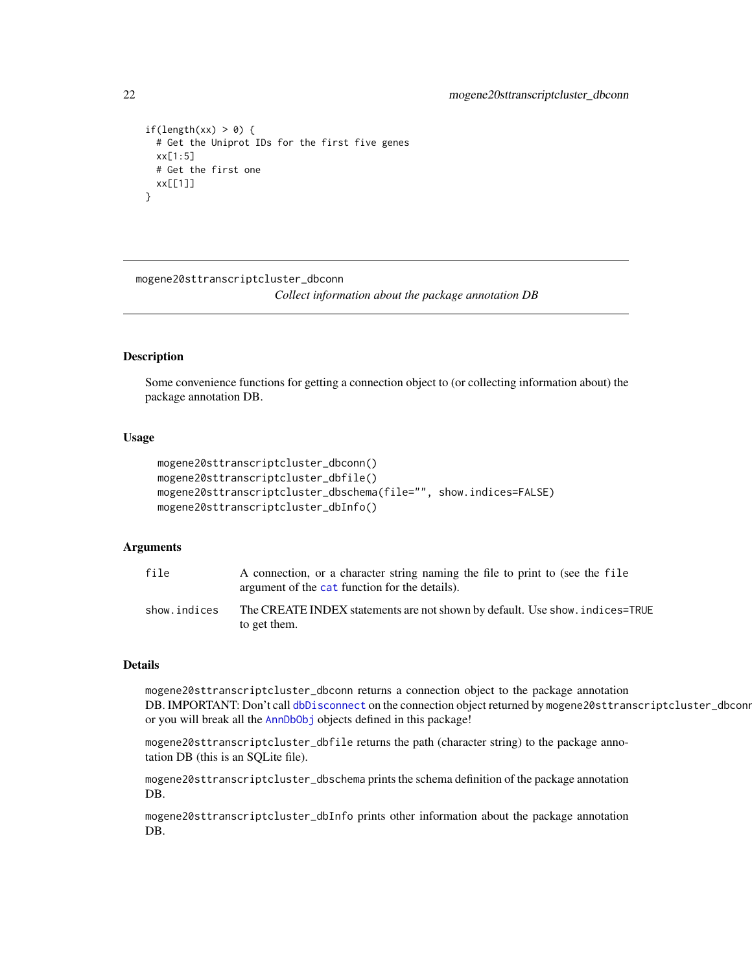```
if(length(xx) > 0) {
 # Get the Uniprot IDs for the first five genes
 xx[1:5]
 # Get the first one
 xx[[1]]
}
```
mogene20sttranscriptcluster\_dbconn

*Collect information about the package annotation DB*

## **Description**

Some convenience functions for getting a connection object to (or collecting information about) the package annotation DB.

## Usage

```
mogene20sttranscriptcluster_dbconn()
mogene20sttranscriptcluster_dbfile()
mogene20sttranscriptcluster_dbschema(file="", show.indices=FALSE)
mogene20sttranscriptcluster_dbInfo()
```
## Arguments

| file         | A connection, or a character string naming the file to print to (see the file<br>argument of the cat function for the details). |
|--------------|---------------------------------------------------------------------------------------------------------------------------------|
| show.indices | The CREATE INDEX statements are not shown by default. Use show, indices=TRUE<br>to get them.                                    |

#### Details

mogene20sttranscriptcluster\_dbconn returns a connection object to the package annotation DB. IMPORTANT: Don't call [dbDisconnect](#page-0-0) on the connection object returned by mogene20sttranscriptcluster\_dbconn or you will break all the [AnnDbObj](#page-0-0) objects defined in this package!

mogene20sttranscriptcluster\_dbfile returns the path (character string) to the package annotation DB (this is an SQLite file).

mogene20sttranscriptcluster\_dbschema prints the schema definition of the package annotation DB.

mogene20sttranscriptcluster\_dbInfo prints other information about the package annotation DB.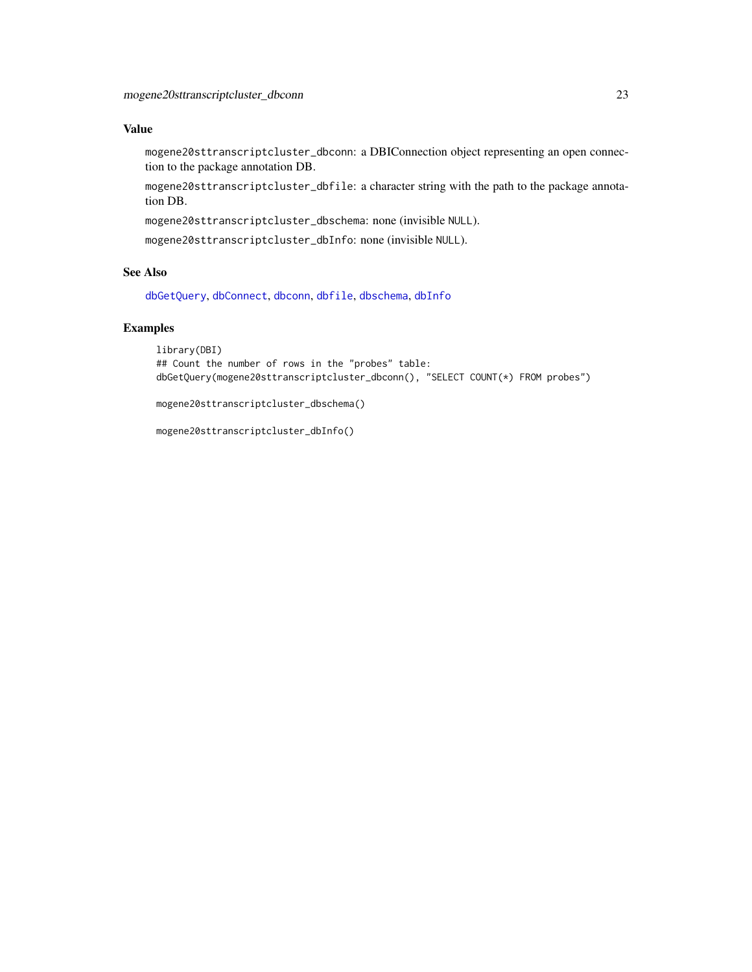## <span id="page-22-0"></span>Value

mogene20sttranscriptcluster\_dbconn: a DBIConnection object representing an open connection to the package annotation DB.

mogene20sttranscriptcluster\_dbfile: a character string with the path to the package annotation DB.

mogene20sttranscriptcluster\_dbschema: none (invisible NULL).

mogene20sttranscriptcluster\_dbInfo: none (invisible NULL).

## See Also

[dbGetQuery](#page-0-0), [dbConnect](#page-0-0), [dbconn](#page-0-0), [dbfile](#page-0-0), [dbschema](#page-0-0), [dbInfo](#page-0-0)

## Examples

```
library(DBI)
## Count the number of rows in the "probes" table:
dbGetQuery(mogene20sttranscriptcluster_dbconn(), "SELECT COUNT(*) FROM probes")
```
mogene20sttranscriptcluster\_dbschema()

mogene20sttranscriptcluster\_dbInfo()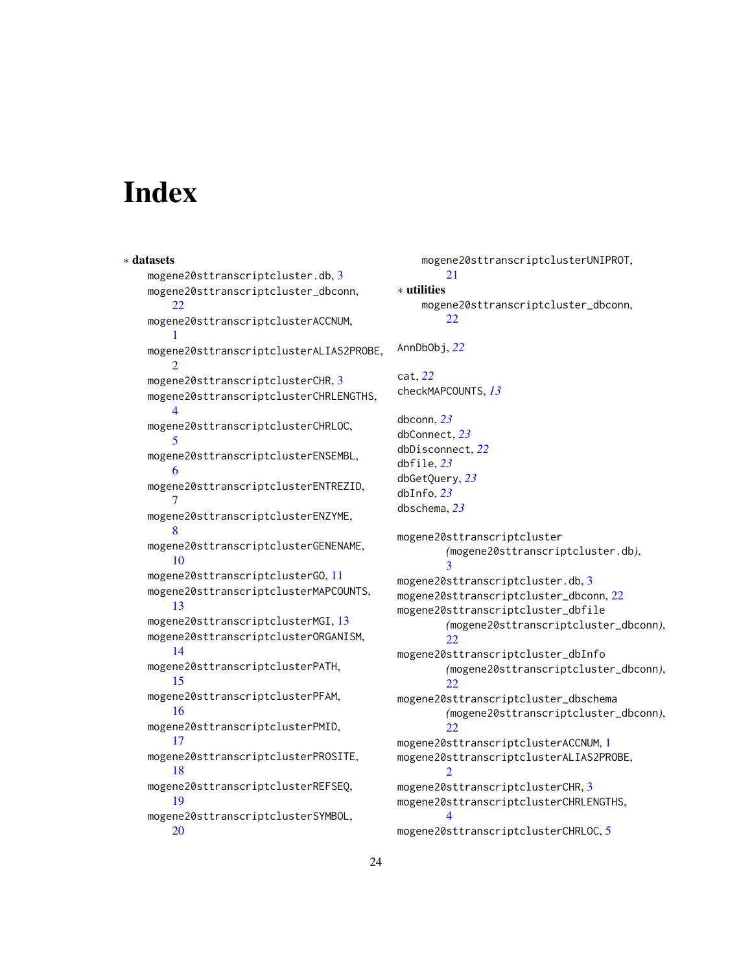# **Index**

∗ datasets mogene20sttranscriptcluster.db, [3](#page-2-0) mogene20sttranscriptcluster\_dbconn, [22](#page-21-0) mogene20sttranscriptclusterACCNUM, [1](#page-0-1) mogene20sttranscriptclusterALIAS2PROBE,  $\mathcal{D}$ mogene20sttranscriptclusterCHR, [3](#page-2-0) mogene20sttranscriptclusterCHRLENGTHS, [4](#page-3-0) mogene20sttranscriptclusterCHRLOC, [5](#page-4-0) mogene20sttranscriptclusterENSEMBL, [6](#page-5-0) mogene20sttranscriptclusterENTREZID, [7](#page-6-0) mogene20sttranscriptclusterENZYME, [8](#page-7-0) mogene20sttranscriptclusterGENENAME, [10](#page-9-0) mogene20sttranscriptclusterGO, [11](#page-10-1) mogene20sttranscriptclusterMAPCOUNTS, [13](#page-12-0) mogene20sttranscriptclusterMGI, [13](#page-12-0) mogene20sttranscriptclusterORGANISM, [14](#page-13-0) mogene20sttranscriptclusterPATH, [15](#page-14-0) mogene20sttranscriptclusterPFAM, [16](#page-15-0) mogene20sttranscriptclusterPMID, [17](#page-16-0) mogene20sttranscriptclusterPROSITE, [18](#page-17-0) mogene20sttranscriptclusterREFSEQ, [19](#page-18-0) mogene20sttranscriptclusterSYMBOL, [20](#page-19-0)

mogene20sttranscriptclusterUNIPROT, [21](#page-20-0) ∗ utilities mogene20sttranscriptcluster\_dbconn, [22](#page-21-0) AnnDbObj, *[22](#page-21-0)* cat, *[22](#page-21-0)* checkMAPCOUNTS, *[13](#page-12-0)* dbconn, *[23](#page-22-0)* dbConnect, *[23](#page-22-0)* dbDisconnect, *[22](#page-21-0)* dbfile, *[23](#page-22-0)* dbGetQuery, *[23](#page-22-0)* dbInfo, *[23](#page-22-0)* dbschema, *[23](#page-22-0)* mogene20sttranscriptcluster *(*mogene20sttranscriptcluster.db*)*, [3](#page-2-0) mogene20sttranscriptcluster.db, [3](#page-2-0) mogene20sttranscriptcluster\_dbconn, [22](#page-21-0) mogene20sttranscriptcluster\_dbfile *(*mogene20sttranscriptcluster\_dbconn*)*, [22](#page-21-0) mogene20sttranscriptcluster\_dbInfo *(*mogene20sttranscriptcluster\_dbconn*)*, [22](#page-21-0) mogene20sttranscriptcluster\_dbschema *(*mogene20sttranscriptcluster\_dbconn*)*,  $22$ mogene20sttranscriptclusterACCNUM, [1](#page-0-1) mogene20sttranscriptclusterALIAS2PROBE, [2](#page-1-0) mogene20sttranscriptclusterCHR, [3](#page-2-0) mogene20sttranscriptclusterCHRLENGTHS, [4](#page-3-0) mogene20sttranscriptclusterCHRLOC, [5](#page-4-0)